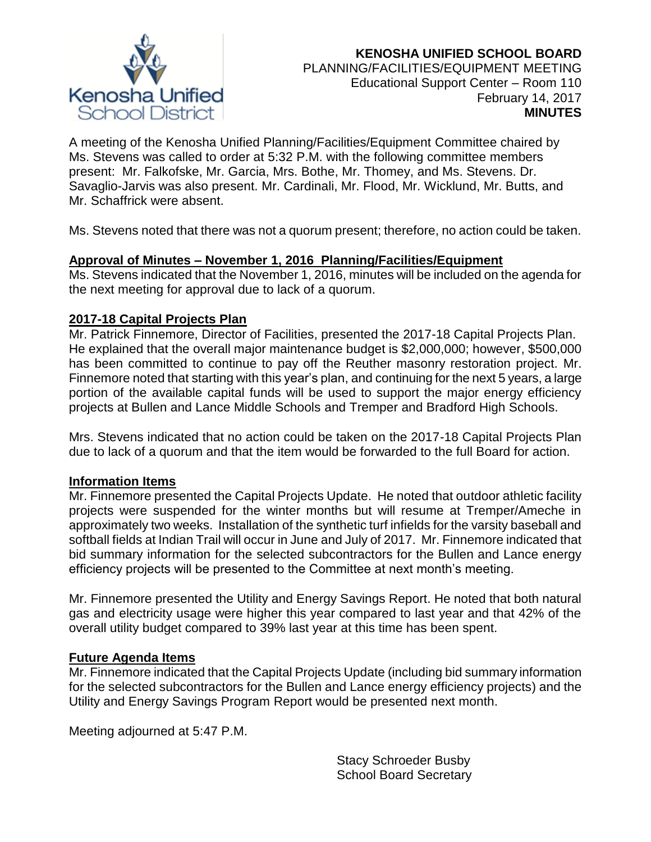

A meeting of the Kenosha Unified Planning/Facilities/Equipment Committee chaired by Ms. Stevens was called to order at 5:32 P.M. with the following committee members present: Mr. Falkofske, Mr. Garcia, Mrs. Bothe, Mr. Thomey, and Ms. Stevens. Dr. Savaglio-Jarvis was also present. Mr. Cardinali, Mr. Flood, Mr. Wicklund, Mr. Butts, and Mr. Schaffrick were absent.

Ms. Stevens noted that there was not a quorum present; therefore, no action could be taken.

# **Approval of Minutes – November 1, 2016 Planning/Facilities/Equipment**

Ms. Stevens indicated that the November 1, 2016, minutes will be included on the agenda for the next meeting for approval due to lack of a quorum.

# **2017-18 Capital Projects Plan**

Mr. Patrick Finnemore, Director of Facilities, presented the 2017-18 Capital Projects Plan. He explained that the overall major maintenance budget is \$2,000,000; however, \$500,000 has been committed to continue to pay off the Reuther masonry restoration project. Mr. Finnemore noted that starting with this year's plan, and continuing for the next 5 years, a large portion of the available capital funds will be used to support the major energy efficiency projects at Bullen and Lance Middle Schools and Tremper and Bradford High Schools.

Mrs. Stevens indicated that no action could be taken on the 2017-18 Capital Projects Plan due to lack of a quorum and that the item would be forwarded to the full Board for action.

# **Information Items**

Mr. Finnemore presented the Capital Projects Update. He noted that outdoor athletic facility projects were suspended for the winter months but will resume at Tremper/Ameche in approximately two weeks. Installation of the synthetic turf infields for the varsity baseball and softball fields at Indian Trail will occur in June and July of 2017. Mr. Finnemore indicated that bid summary information for the selected subcontractors for the Bullen and Lance energy efficiency projects will be presented to the Committee at next month's meeting.

Mr. Finnemore presented the Utility and Energy Savings Report. He noted that both natural gas and electricity usage were higher this year compared to last year and that 42% of the overall utility budget compared to 39% last year at this time has been spent.

# **Future Agenda Items**

Mr. Finnemore indicated that the Capital Projects Update (including bid summary information for the selected subcontractors for the Bullen and Lance energy efficiency projects) and the Utility and Energy Savings Program Report would be presented next month.

Meeting adjourned at 5:47 P.M.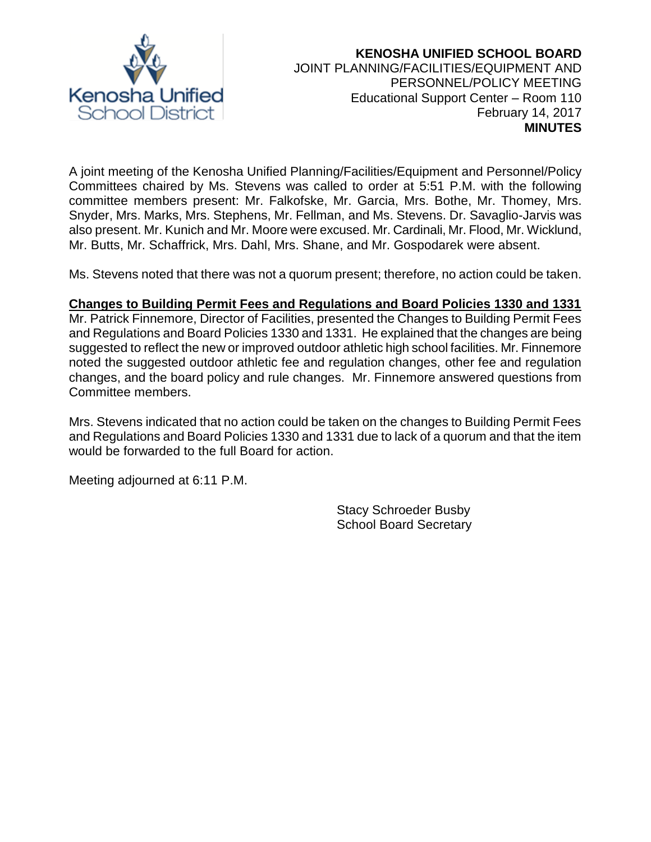

### **KENOSHA UNIFIED SCHOOL BOARD** JOINT PLANNING/FACILITIES/EQUIPMENT AND PERSONNEL/POLICY MEETING Educational Support Center – Room 110 February 14, 2017 **MINUTES**

A joint meeting of the Kenosha Unified Planning/Facilities/Equipment and Personnel/Policy Committees chaired by Ms. Stevens was called to order at 5:51 P.M. with the following committee members present: Mr. Falkofske, Mr. Garcia, Mrs. Bothe, Mr. Thomey, Mrs. Snyder, Mrs. Marks, Mrs. Stephens, Mr. Fellman, and Ms. Stevens. Dr. Savaglio-Jarvis was also present. Mr. Kunich and Mr. Moore were excused. Mr. Cardinali, Mr. Flood, Mr. Wicklund, Mr. Butts, Mr. Schaffrick, Mrs. Dahl, Mrs. Shane, and Mr. Gospodarek were absent.

Ms. Stevens noted that there was not a quorum present; therefore, no action could be taken.

### **Changes to Building Permit Fees and Regulations and Board Policies 1330 and 1331**

Mr. Patrick Finnemore, Director of Facilities, presented the Changes to Building Permit Fees and Regulations and Board Policies 1330 and 1331. He explained that the changes are being suggested to reflect the new or improved outdoor athletic high school facilities. Mr. Finnemore noted the suggested outdoor athletic fee and regulation changes, other fee and regulation changes, and the board policy and rule changes. Mr. Finnemore answered questions from Committee members.

Mrs. Stevens indicated that no action could be taken on the changes to Building Permit Fees and Regulations and Board Policies 1330 and 1331 due to lack of a quorum and that the item would be forwarded to the full Board for action.

Meeting adjourned at 6:11 P.M.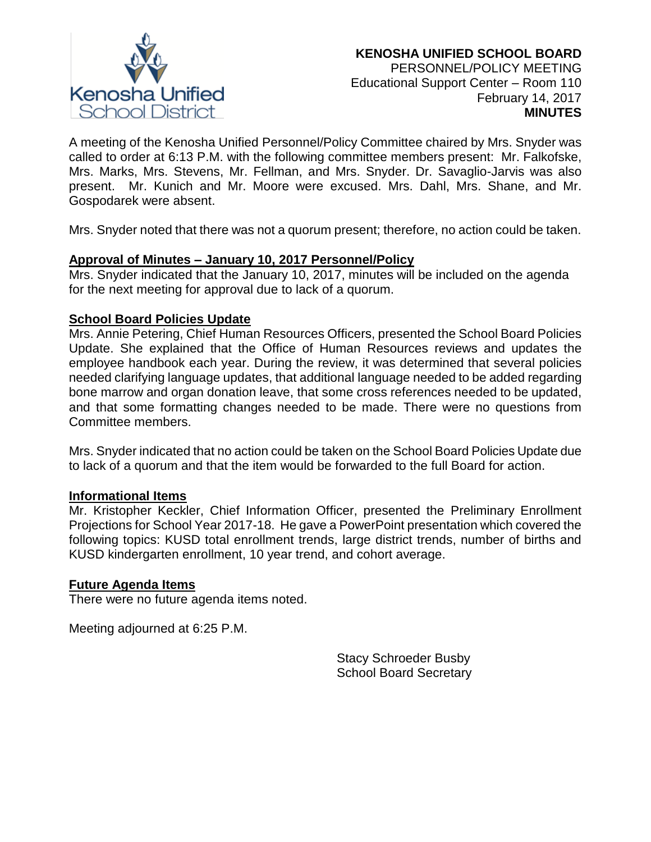

A meeting of the Kenosha Unified Personnel/Policy Committee chaired by Mrs. Snyder was called to order at 6:13 P.M. with the following committee members present: Mr. Falkofske, Mrs. Marks, Mrs. Stevens, Mr. Fellman, and Mrs. Snyder. Dr. Savaglio-Jarvis was also present. Mr. Kunich and Mr. Moore were excused. Mrs. Dahl, Mrs. Shane, and Mr. Gospodarek were absent.

Mrs. Snyder noted that there was not a quorum present; therefore, no action could be taken.

# **Approval of Minutes – January 10, 2017 Personnel/Policy**

Mrs. Snyder indicated that the January 10, 2017, minutes will be included on the agenda for the next meeting for approval due to lack of a quorum.

### **School Board Policies Update**

Mrs. Annie Petering, Chief Human Resources Officers, presented the School Board Policies Update. She explained that the Office of Human Resources reviews and updates the employee handbook each year. During the review, it was determined that several policies needed clarifying language updates, that additional language needed to be added regarding bone marrow and organ donation leave, that some cross references needed to be updated, and that some formatting changes needed to be made. There were no questions from Committee members.

Mrs. Snyder indicated that no action could be taken on the School Board Policies Update due to lack of a quorum and that the item would be forwarded to the full Board for action.

#### **Informational Items**

Mr. Kristopher Keckler, Chief Information Officer, presented the Preliminary Enrollment Projections for School Year 2017-18. He gave a PowerPoint presentation which covered the following topics: KUSD total enrollment trends, large district trends, number of births and KUSD kindergarten enrollment, 10 year trend, and cohort average.

#### **Future Agenda Items**

There were no future agenda items noted.

Meeting adjourned at 6:25 P.M.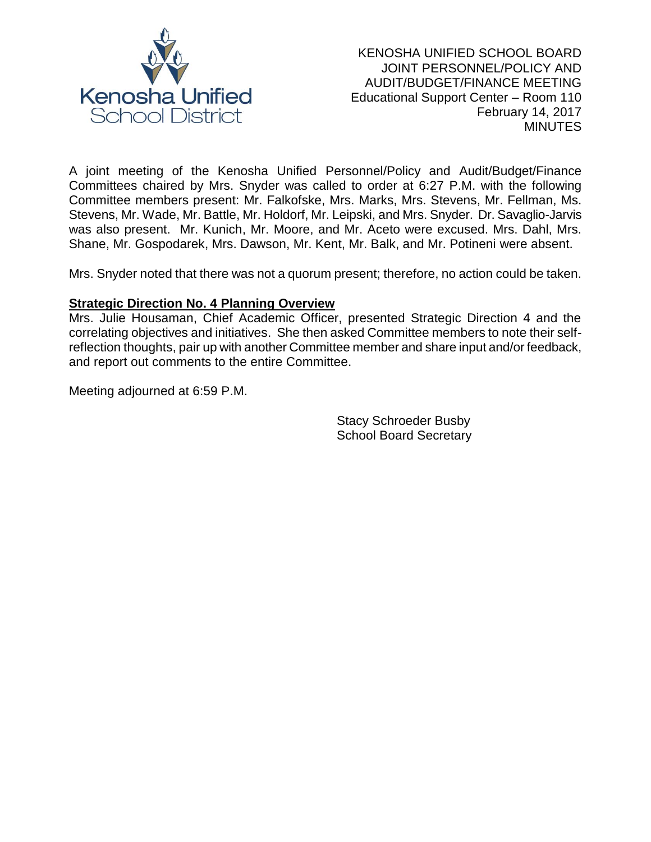

A joint meeting of the Kenosha Unified Personnel/Policy and Audit/Budget/Finance Committees chaired by Mrs. Snyder was called to order at 6:27 P.M. with the following Committee members present: Mr. Falkofske, Mrs. Marks, Mrs. Stevens, Mr. Fellman, Ms. Stevens, Mr. Wade, Mr. Battle, Mr. Holdorf, Mr. Leipski, and Mrs. Snyder. Dr. Savaglio-Jarvis was also present. Mr. Kunich, Mr. Moore, and Mr. Aceto were excused. Mrs. Dahl, Mrs. Shane, Mr. Gospodarek, Mrs. Dawson, Mr. Kent, Mr. Balk, and Mr. Potineni were absent.

Mrs. Snyder noted that there was not a quorum present; therefore, no action could be taken.

### **Strategic Direction No. 4 Planning Overview**

Mrs. Julie Housaman, Chief Academic Officer, presented Strategic Direction 4 and the correlating objectives and initiatives. She then asked Committee members to note their selfreflection thoughts, pair up with another Committee member and share input and/or feedback, and report out comments to the entire Committee.

Meeting adjourned at 6:59 P.M.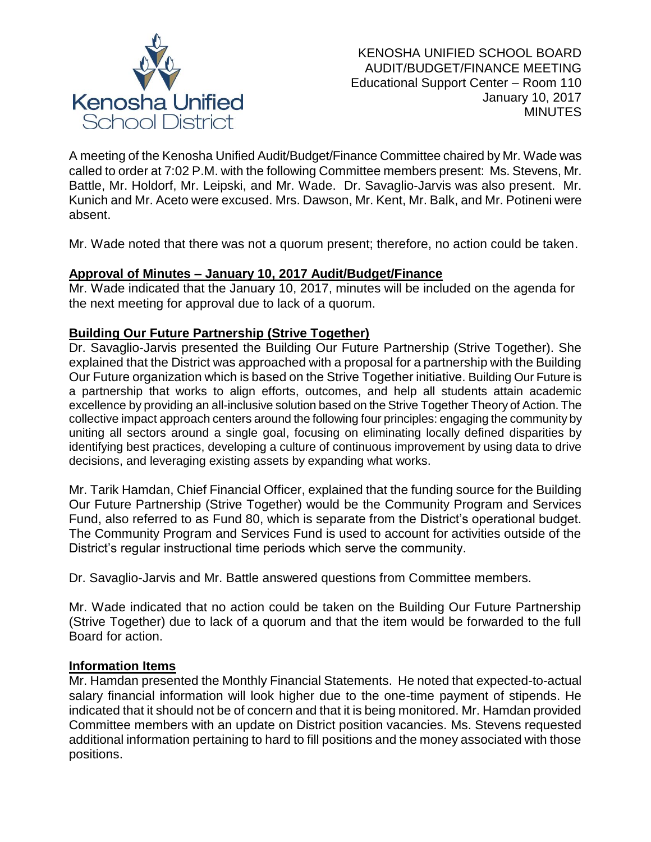

A meeting of the Kenosha Unified Audit/Budget/Finance Committee chaired by Mr. Wade was called to order at 7:02 P.M. with the following Committee members present: Ms. Stevens, Mr. Battle, Mr. Holdorf, Mr. Leipski, and Mr. Wade. Dr. Savaglio-Jarvis was also present. Mr. Kunich and Mr. Aceto were excused. Mrs. Dawson, Mr. Kent, Mr. Balk, and Mr. Potineni were absent.

Mr. Wade noted that there was not a quorum present; therefore, no action could be taken.

# **Approval of Minutes – January 10, 2017 Audit/Budget/Finance**

Mr. Wade indicated that the January 10, 2017, minutes will be included on the agenda for the next meeting for approval due to lack of a quorum.

# **Building Our Future Partnership (Strive Together)**

Dr. Savaglio-Jarvis presented the Building Our Future Partnership (Strive Together). She explained that the District was approached with a proposal for a partnership with the Building Our Future organization which is based on the Strive Together initiative. Building Our Future is a partnership that works to align efforts, outcomes, and help all students attain academic excellence by providing an all-inclusive solution based on the Strive Together Theory of Action. The collective impact approach centers around the following four principles: engaging the community by uniting all sectors around a single goal, focusing on eliminating locally defined disparities by identifying best practices, developing a culture of continuous improvement by using data to drive decisions, and leveraging existing assets by expanding what works.

Mr. Tarik Hamdan, Chief Financial Officer, explained that the funding source for the Building Our Future Partnership (Strive Together) would be the Community Program and Services Fund, also referred to as Fund 80, which is separate from the District's operational budget. The Community Program and Services Fund is used to account for activities outside of the District's regular instructional time periods which serve the community.

Dr. Savaglio-Jarvis and Mr. Battle answered questions from Committee members.

Mr. Wade indicated that no action could be taken on the Building Our Future Partnership (Strive Together) due to lack of a quorum and that the item would be forwarded to the full Board for action.

# **Information Items**

Mr. Hamdan presented the Monthly Financial Statements. He noted that expected-to-actual salary financial information will look higher due to the one-time payment of stipends. He indicated that it should not be of concern and that it is being monitored. Mr. Hamdan provided Committee members with an update on District position vacancies. Ms. Stevens requested additional information pertaining to hard to fill positions and the money associated with those positions.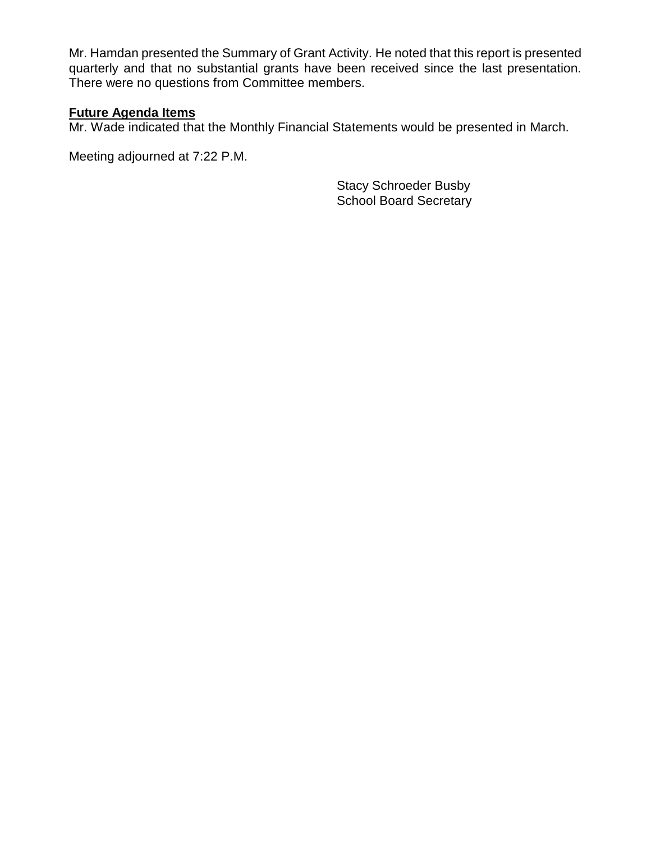Mr. Hamdan presented the Summary of Grant Activity. He noted that this report is presented quarterly and that no substantial grants have been received since the last presentation. There were no questions from Committee members.

# **Future Agenda Items**

Mr. Wade indicated that the Monthly Financial Statements would be presented in March.

Meeting adjourned at 7:22 P.M.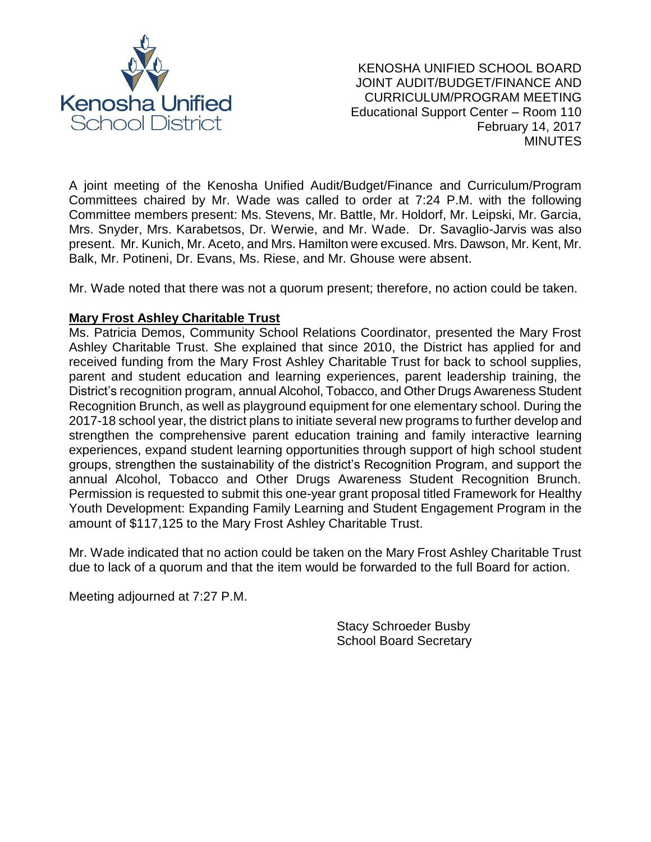

A joint meeting of the Kenosha Unified Audit/Budget/Finance and Curriculum/Program Committees chaired by Mr. Wade was called to order at 7:24 P.M. with the following Committee members present: Ms. Stevens, Mr. Battle, Mr. Holdorf, Mr. Leipski, Mr. Garcia, Mrs. Snyder, Mrs. Karabetsos, Dr. Werwie, and Mr. Wade. Dr. Savaglio-Jarvis was also present. Mr. Kunich, Mr. Aceto, and Mrs. Hamilton were excused. Mrs. Dawson, Mr. Kent, Mr. Balk, Mr. Potineni, Dr. Evans, Ms. Riese, and Mr. Ghouse were absent.

Mr. Wade noted that there was not a quorum present; therefore, no action could be taken.

# **Mary Frost Ashley Charitable Trust**

Ms. Patricia Demos, Community School Relations Coordinator, presented the Mary Frost Ashley Charitable Trust. She explained that since 2010, the District has applied for and received funding from the Mary Frost Ashley Charitable Trust for back to school supplies, parent and student education and learning experiences, parent leadership training, the District's recognition program, annual Alcohol, Tobacco, and Other Drugs Awareness Student Recognition Brunch, as well as playground equipment for one elementary school. During the 2017-18 school year, the district plans to initiate several new programs to further develop and strengthen the comprehensive parent education training and family interactive learning experiences, expand student learning opportunities through support of high school student groups, strengthen the sustainability of the district's Recognition Program, and support the annual Alcohol, Tobacco and Other Drugs Awareness Student Recognition Brunch. Permission is requested to submit this one-year grant proposal titled Framework for Healthy Youth Development: Expanding Family Learning and Student Engagement Program in the amount of \$117,125 to the Mary Frost Ashley Charitable Trust.

Mr. Wade indicated that no action could be taken on the Mary Frost Ashley Charitable Trust due to lack of a quorum and that the item would be forwarded to the full Board for action.

Meeting adjourned at 7:27 P.M.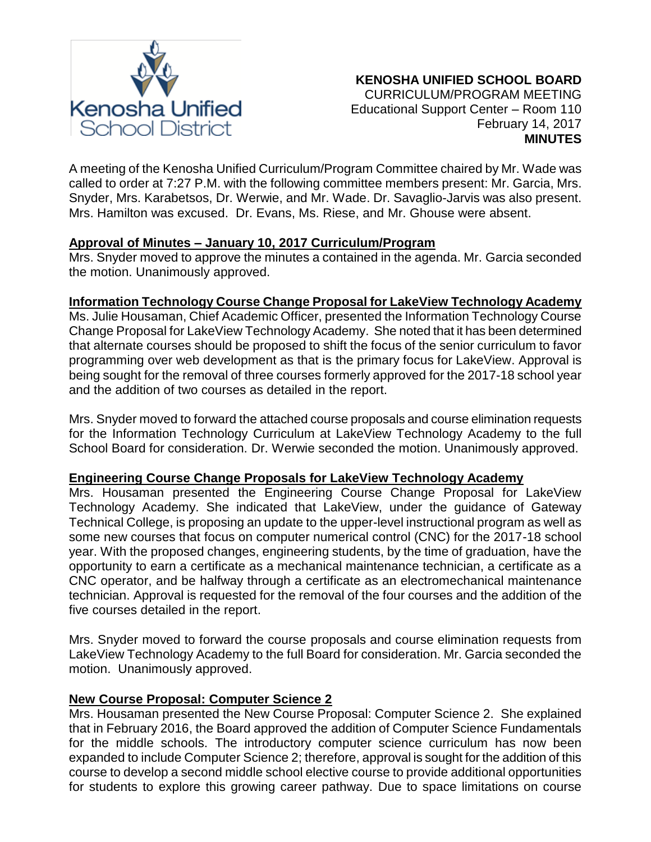

A meeting of the Kenosha Unified Curriculum/Program Committee chaired by Mr. Wade was called to order at 7:27 P.M. with the following committee members present: Mr. Garcia, Mrs. Snyder, Mrs. Karabetsos, Dr. Werwie, and Mr. Wade. Dr. Savaglio-Jarvis was also present. Mrs. Hamilton was excused. Dr. Evans, Ms. Riese, and Mr. Ghouse were absent.

# **Approval of Minutes – January 10, 2017 Curriculum/Program**

Mrs. Snyder moved to approve the minutes a contained in the agenda. Mr. Garcia seconded the motion. Unanimously approved.

# **Information Technology Course Change Proposal for LakeView Technology Academy**

Ms. Julie Housaman, Chief Academic Officer, presented the Information Technology Course Change Proposal for LakeView Technology Academy. She noted that it has been determined that alternate courses should be proposed to shift the focus of the senior curriculum to favor programming over web development as that is the primary focus for LakeView. Approval is being sought for the removal of three courses formerly approved for the 2017-18 school year and the addition of two courses as detailed in the report.

Mrs. Snyder moved to forward the attached course proposals and course elimination requests for the Information Technology Curriculum at LakeView Technology Academy to the full School Board for consideration. Dr. Werwie seconded the motion. Unanimously approved.

# **Engineering Course Change Proposals for LakeView Technology Academy**

Mrs. Housaman presented the Engineering Course Change Proposal for LakeView Technology Academy. She indicated that LakeView, under the guidance of Gateway Technical College, is proposing an update to the upper-level instructional program as well as some new courses that focus on computer numerical control (CNC) for the 2017-18 school year. With the proposed changes, engineering students, by the time of graduation, have the opportunity to earn a certificate as a mechanical maintenance technician, a certificate as a CNC operator, and be halfway through a certificate as an electromechanical maintenance technician. Approval is requested for the removal of the four courses and the addition of the five courses detailed in the report.

Mrs. Snyder moved to forward the course proposals and course elimination requests from LakeView Technology Academy to the full Board for consideration. Mr. Garcia seconded the motion. Unanimously approved.

# **New Course Proposal: Computer Science 2**

Mrs. Housaman presented the New Course Proposal: Computer Science 2. She explained that in February 2016, the Board approved the addition of Computer Science Fundamentals for the middle schools. The introductory computer science curriculum has now been expanded to include Computer Science 2; therefore, approval is sought for the addition of this course to develop a second middle school elective course to provide additional opportunities for students to explore this growing career pathway. Due to space limitations on course